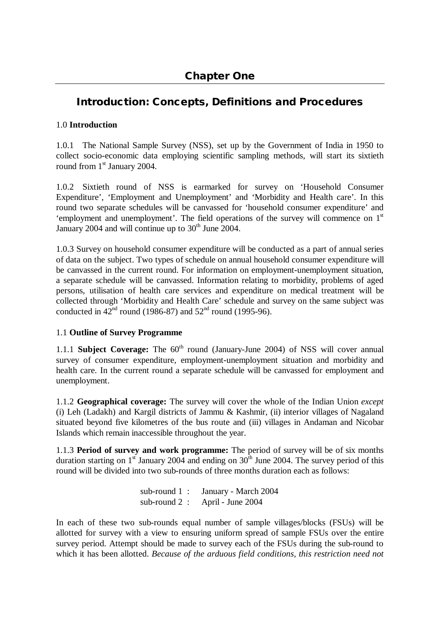# **Introduction: Concepts, Definitions and Procedures**

# 1.0 **Introduction**

1.0.1 The National Sample Survey (NSS), set up by the Government of India in 1950 to collect socio-economic data employing scientific sampling methods, will start its sixtieth round from 1<sup>st</sup> January 2004.

1.0.2 Sixtieth round of NSS is earmarked for survey on 'Household Consumer Expenditure', 'Employment and Unemployment' and 'Morbidity and Health care'. In this round two separate schedules will be canvassed for 'household consumer expenditure' and 'employment and unemployment'. The field operations of the survey will commence on  $1<sup>st</sup>$ January 2004 and will continue up to  $30<sup>th</sup>$  June 2004.

1.0.3 Survey on household consumer expenditure will be conducted as a part of annual series of data on the subject. Two types of schedule on annual household consumer expenditure will be canvassed in the current round. For information on employment-unemployment situation, a separate schedule will be canvassed. Information relating to morbidity, problems of aged persons, utilisation of health care services and expenditure on medical treatment will be collected through 'Morbidity and Health Care' schedule and survey on the same subject was conducted in  $42<sup>nd</sup>$  round (1986-87) and  $52<sup>nd</sup>$  round (1995-96).

# 1.1 **Outline of Survey Programme**

1.1.1 **Subject Coverage:** The 60<sup>th</sup> round (January-June 2004) of NSS will cover annual survey of consumer expenditure, employment-unemployment situation and morbidity and health care. In the current round a separate schedule will be canvassed for employment and unemployment.

1.1.2 **Geographical coverage:** The survey will cover the whole of the Indian Union *except*  (i) Leh (Ladakh) and Kargil districts of Jammu & Kashmir, (ii) interior villages of Nagaland situated beyond five kilometres of the bus route and (iii) villages in Andaman and Nicobar Islands which remain inaccessible throughout the year.

1.1.3 **Period of survey and work programme:** The period of survey will be of six months duration starting on  $1^{\text{st}}$  January 2004 and ending on  $30^{\text{th}}$  June 2004. The survey period of this round will be divided into two sub-rounds of three months duration each as follows:

> sub-round 1 : January - March 2004 sub-round 2 : April - June 2004

In each of these two sub-rounds equal number of sample villages/blocks (FSUs) will be allotted for survey with a view to ensuring uniform spread of sample FSUs over the entire survey period. Attempt should be made to survey each of the FSUs during the sub-round to which it has been allotted. *Because of the arduous field conditions, this restriction need not*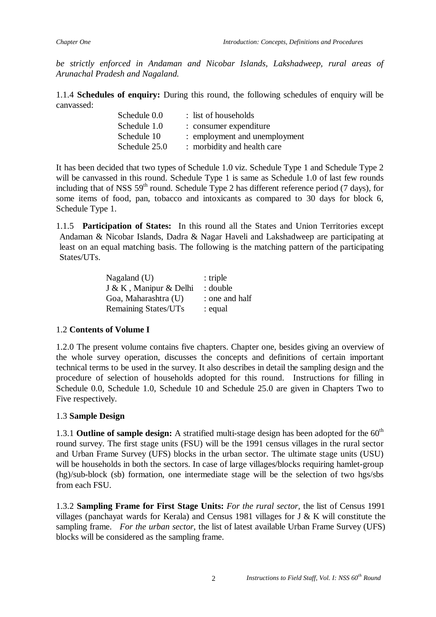*be strictly enforced in Andaman and Nicobar Islands, Lakshadweep, rural areas of Arunachal Pradesh and Nagaland.*

1.1.4 **Schedules of enquiry:** During this round, the following schedules of enquiry will be canvassed:

| Schedule 0.0  | : list of households          |
|---------------|-------------------------------|
| Schedule 1.0  | : consumer expenditure        |
| Schedule 10   | : employment and unemployment |
| Schedule 25.0 | : morbidity and health care   |

It has been decided that two types of Schedule 1.0 viz. Schedule Type 1 and Schedule Type 2 will be canvassed in this round. Schedule Type 1 is same as Schedule 1.0 of last few rounds including that of NSS  $59<sup>th</sup>$  round. Schedule Type 2 has different reference period (7 days), for some items of food, pan, tobacco and intoxicants as compared to 30 days for block 6, Schedule Type 1.

1.1.5 **Participation of States:** In this round all the States and Union Territories except Andaman & Nicobar Islands, Dadra & Nagar Haveli and Lakshadweep are participating at least on an equal matching basis. The following is the matching pattern of the participating States/UTs.

| Nagaland $(U)$              | $:$ triple     |
|-----------------------------|----------------|
| J & K, Manipur & Delhi      | : double       |
| Goa, Maharashtra (U)        | : one and half |
| <b>Remaining States/UTs</b> | : equal        |

# 1.2 **Contents of Volume I**

1.2.0 The present volume contains five chapters. Chapter one, besides giving an overview of the whole survey operation, discusses the concepts and definitions of certain important technical terms to be used in the survey. It also describes in detail the sampling design and the procedure of selection of households adopted for this round. Instructions for filling in Schedule 0.0, Schedule 1.0, Schedule 10 and Schedule 25.0 are given in Chapters Two to Five respectively.

# 1.3 **Sample Design**

1.3.1 **Outline of sample design:** A stratified multi-stage design has been adopted for the 60<sup>th</sup> round survey. The first stage units (FSU) will be the 1991 census villages in the rural sector and Urban Frame Survey (UFS) blocks in the urban sector. The ultimate stage units (USU) will be households in both the sectors. In case of large villages/blocks requiring hamlet-group (hg)/sub-block (sb) formation, one intermediate stage will be the selection of two hgs/sbs from each FSU.

1.3.2 **Sampling Frame for First Stage Units:** *For the rural sector,* the list of Census 1991 villages (panchayat wards for Kerala) and Census 1981 villages for J & K will constitute the sampling frame. *For the urban sector*, the list of latest available Urban Frame Survey (UFS) blocks will be considered as the sampling frame.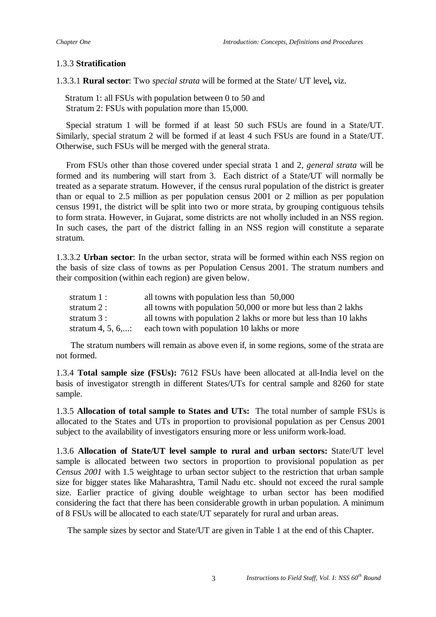# 1.3.3 **Stratification**

1.3.3.1 **Rural sector**: Two *special strata* will be formed at the State/ UT level**,** viz.

Stratum 1: all FSUs with population between 0 to 50 and Stratum 2: FSUs with population more than 15,000.

Special stratum 1 will be formed if at least 50 such FSUs are found in a State/UT. Similarly, special stratum 2 will be formed if at least 4 such FSUs are found in a State/UT. Otherwise, such FSUs will be merged with the general strata.

From FSUs other than those covered under special strata 1 and 2, *general strata* will be formed and its numbering will start from 3. Each district of a State/UT will normally be treated as a separate stratum. However, if the census rural population of the district is greater than or equal to 2.5 million as per population census 2001 or 2 million as per population census 1991, the district will be split into two or more strata, by grouping contiguous tehsils to form strata. However, in Gujarat, some districts are not wholly included in an NSS region. In such cases, the part of the district falling in an NSS region will constitute a separate stratum.

1.3.3.2 **Urban sector**: In the urban sector, strata will be formed within each NSS region on the basis of size class of towns as per Population Census 2001. The stratum numbers and their composition (within each region) are given below.

| stratum 1 :       | all towns with population less than 50,000                       |
|-------------------|------------------------------------------------------------------|
| stratum 2 :       | all towns with population 50,000 or more but less than 2 lakhs   |
| stratum 3 :       | all towns with population 2 lakhs or more but less than 10 lakhs |
| stratum 4, 5, 6,: | each town with population 10 lakhs or more                       |

The stratum numbers will remain as above even if, in some regions, some of the strata are not formed.

1.3.4 **Total sample size (FSUs):** 7612 FSUs have been allocated at all-India level on the basis of investigator strength in different States/UTs for central sample and 8260 for state sample.

1.3.5 **Allocation of total sample to States and UTs:** The total number of sample FSUs is allocated to the States and UTs in proportion to provisional population as per Census 2001 subject to the availability of investigators ensuring more or less uniform work-load.

1.3.6 **Allocation of State/UT level sample to rural and urban sectors:** State/UT level sample is allocated between two sectors in proportion to provisional population as per *Census 2001* with 1.5 weightage to urban sector subject to the restriction that urban sample size for bigger states like Maharashtra, Tamil Nadu etc. should not exceed the rural sample size. Earlier practice of giving double weightage to urban sector has been modified considering the fact that there has been considerable growth in urban population. A minimum of 8 FSUs will be allocated to each state/UT separately for rural and urban areas.

The sample sizes by sector and State/UT are given in Table 1 at the end of this Chapter.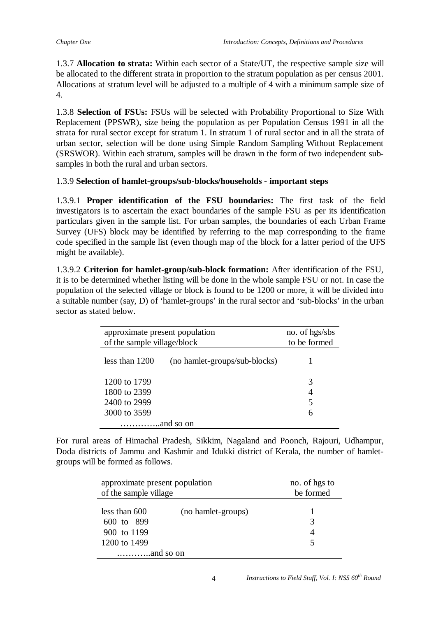1.3.7 **Allocation to strata:** Within each sector of a State/UT, the respective sample size will be allocated to the different strata in proportion to the stratum population as per census 2001. Allocations at stratum level will be adjusted to a multiple of 4 with a minimum sample size of 4.

1.3.8 **Selection of FSUs:** FSUs will be selected with Probability Proportional to Size With Replacement (PPSWR), size being the population as per Population Census 1991 in all the strata for rural sector except for stratum 1. In stratum 1 of rural sector and in all the strata of urban sector, selection will be done using Simple Random Sampling Without Replacement (SRSWOR). Within each stratum, samples will be drawn in the form of two independent subsamples in both the rural and urban sectors.

# 1.3.9 **Selection of hamlet-groups/sub-blocks/households - important steps**

1.3.9.1 **Proper identification of the FSU boundaries:** The first task of the field investigators is to ascertain the exact boundaries of the sample FSU as per its identification particulars given in the sample list. For urban samples, the boundaries of each Urban Frame Survey (UFS) block may be identified by referring to the map corresponding to the frame code specified in the sample list (even though map of the block for a latter period of the UFS might be available).

1.3.9.2 **Criterion for hamlet-group/sub-block formation:** After identification of the FSU, it is to be determined whether listing will be done in the whole sample FSU or not. In case the population of the selected village or block is found to be 1200 or more, it will be divided into a suitable number (say, D) of 'hamlet-groups' in the rural sector and 'sub-blocks' in the urban sector as stated below.

| approximate present population<br>of the sample village/block |  | no. of hgs/sbs<br>to be formed |  |
|---------------------------------------------------------------|--|--------------------------------|--|
| less than $1200$<br>(no hamlet-groups/sub-blocks)             |  |                                |  |
| 1200 to 1799<br>1800 to 2399<br>2400 to 2999<br>3000 to 3599  |  | 3<br>4<br>5<br>6               |  |
|                                                               |  |                                |  |

For rural areas of Himachal Pradesh, Sikkim, Nagaland and Poonch, Rajouri, Udhampur, Doda districts of Jammu and Kashmir and Idukki district of Kerala, the number of hamletgroups will be formed as follows.

| approximate present population<br>of the sample village      |                    | no. of hgs to<br>be formed |
|--------------------------------------------------------------|--------------------|----------------------------|
| less than $600$<br>600 to 899<br>900 to 1199<br>1200 to 1499 | (no hamlet-groups) |                            |
|                                                              |                    |                            |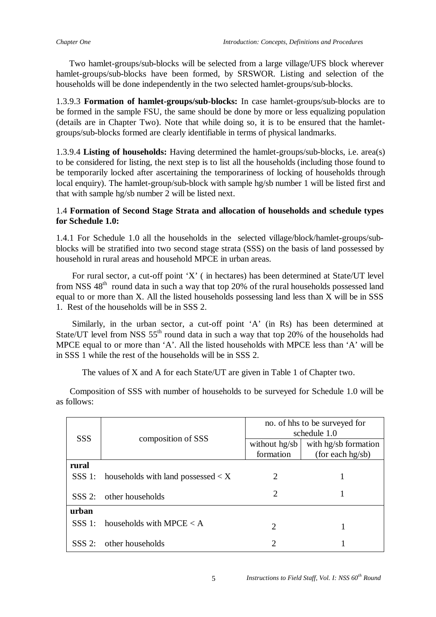Two hamlet-groups/sub-blocks will be selected from a large village/UFS block wherever hamlet-groups/sub-blocks have been formed, by SRSWOR. Listing and selection of the households will be done independently in the two selected hamlet-groups/sub-blocks.

1.3.9.3 **Formation of hamlet-groups/sub-blocks:** In case hamlet-groups/sub-blocks are to be formed in the sample FSU, the same should be done by more or less equalizing population (details are in Chapter Two). Note that while doing so, it is to be ensured that the hamletgroups/sub-blocks formed are clearly identifiable in terms of physical landmarks.

1.3.9.4 **Listing of households:** Having determined the hamlet-groups/sub-blocks, i.e. area(s) to be considered for listing, the next step is to list all the households (including those found to be temporarily locked after ascertaining the temporariness of locking of households through local enquiry). The hamlet-group/sub-block with sample hg/sb number 1 will be listed first and that with sample hg/sb number 2 will be listed next.

## 1.4 **Formation of Second Stage Strata and allocation of households and schedule types for Schedule 1.0:**

1.4.1 For Schedule 1.0 all the households in the selected village/block/hamlet-groups/subblocks will be stratified into two second stage strata (SSS) on the basis of land possessed by household in rural areas and household MPCE in urban areas.

 For rural sector, a cut-off point 'X' ( in hectares) has been determined at State/UT level from NSS 48<sup>th</sup> round data in such a way that top 20% of the rural households possessed land equal to or more than X. All the listed households possessing land less than X will be in SSS 1. Rest of the households will be in SSS 2.

 Similarly, in the urban sector, a cut-off point 'A' (in Rs) has been determined at State/UT level from NSS  $55<sup>th</sup>$  round data in such a way that top 20% of the households had MPCE equal to or more than 'A'. All the listed households with MPCE less than 'A' will be in SSS 1 while the rest of the households will be in SSS 2.

The values of X and A for each State/UT are given in Table 1 of Chapter two.

 Composition of SSS with number of households to be surveyed for Schedule 1.0 will be as follows:

|          |                                                           | no. of hhs to be surveyed for<br>schedule 1.0 |                      |  |  |
|----------|-----------------------------------------------------------|-----------------------------------------------|----------------------|--|--|
|          | <b>SSS</b><br>composition of SSS                          |                                               | with hg/sb formation |  |  |
|          |                                                           | formation                                     | (for each hg/sb)     |  |  |
| rural    |                                                           |                                               |                      |  |  |
|          | SSS 1: households with land possessed $\langle X \rangle$ | 2                                             |                      |  |  |
| $SSS$ 2: | other households                                          | 2                                             |                      |  |  |
| urban    |                                                           |                                               |                      |  |  |
|          | SSS 1: households with MPCE $\lt A$                       | $\mathcal{D}_{\mathcal{L}}$                   |                      |  |  |
|          | SSS 2: other households                                   | 2                                             |                      |  |  |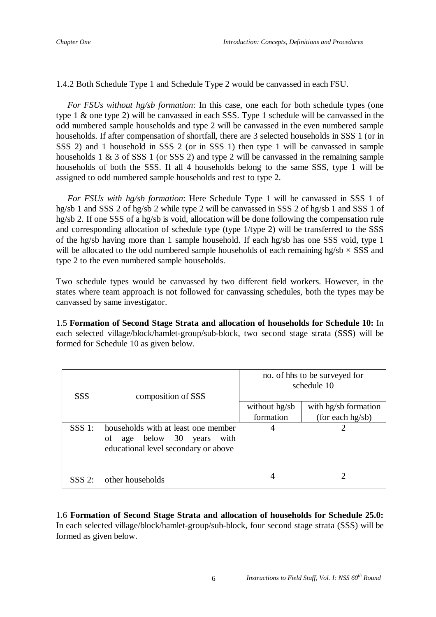1.4.2 Both Schedule Type 1 and Schedule Type 2 would be canvassed in each FSU.

 *For FSUs without hg/sb formation*: In this case, one each for both schedule types (one type 1 & one type 2) will be canvassed in each SSS. Type 1 schedule will be canvassed in the odd numbered sample households and type 2 will be canvassed in the even numbered sample households. If after compensation of shortfall, there are 3 selected households in SSS 1 (or in SSS 2) and 1 household in SSS 2 (or in SSS 1) then type 1 will be canvassed in sample households 1 & 3 of SSS 1 (or SSS 2) and type 2 will be canvassed in the remaining sample households of both the SSS. If all 4 households belong to the same SSS, type 1 will be assigned to odd numbered sample households and rest to type 2.

 *For FSUs with hg/sb formation*: Here Schedule Type 1 will be canvassed in SSS 1 of hg/sb 1 and SSS 2 of hg/sb 2 while type 2 will be canvassed in SSS 2 of hg/sb 1 and SSS 1 of hg/sb 2. If one SSS of a hg/sb is void, allocation will be done following the compensation rule and corresponding allocation of schedule type (type 1/type 2) will be transferred to the SSS of the hg/sb having more than 1 sample household. If each hg/sb has one SSS void, type 1 will be allocated to the odd numbered sample households of each remaining hg/sb *×* SSS and type 2 to the even numbered sample households.

Two schedule types would be canvassed by two different field workers. However, in the states where team approach is not followed for canvassing schedules, both the types may be canvassed by same investigator.

1.5 **Formation of Second Stage Strata and allocation of households for Schedule 10:** In each selected village/block/hamlet-group/sub-block, two second stage strata (SSS) will be formed for Schedule 10 as given below.

| <b>SSS</b> | composition of SSS                                                                                           | no. of hhs to be surveyed for<br>schedule 10 |                      |  |
|------------|--------------------------------------------------------------------------------------------------------------|----------------------------------------------|----------------------|--|
|            |                                                                                                              | without hg/sb                                | with hg/sb formation |  |
|            |                                                                                                              | formation                                    | (for each $hg/sb$ )  |  |
| $SSS$ 1:   | households with at least one member<br>of age below 30 years<br>with<br>educational level secondary or above | 4                                            |                      |  |
| $SSS$ 2:   | other households                                                                                             | 4                                            |                      |  |

1.6 **Formation of Second Stage Strata and allocation of households for Schedule 25.0:**  In each selected village/block/hamlet-group/sub-block, four second stage strata (SSS) will be formed as given below.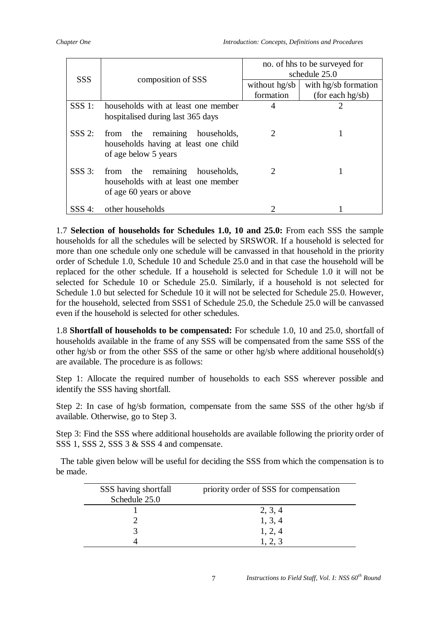|            |                                                                                                            | no. of hhs to be surveyed for<br>schedule 25.0 |                      |  |
|------------|------------------------------------------------------------------------------------------------------------|------------------------------------------------|----------------------|--|
| <b>SSS</b> | composition of SSS                                                                                         | without hg/sb                                  | with hg/sb formation |  |
|            |                                                                                                            | formation                                      | (for each $hg/sb$ )  |  |
| $SSS$ 1:   | households with at least one member                                                                        | 4                                              |                      |  |
|            | hospitalised during last 365 days                                                                          |                                                |                      |  |
| $SSS$ 2:   | remaining<br>from the<br>households,<br>households having at least one child<br>of age below 5 years       | 2                                              |                      |  |
| $SSS$ 3:   | remaining<br>households,<br>the<br>from<br>households with at least one member<br>of age 60 years or above | 2                                              |                      |  |
| $SSS$ 4:   | other households                                                                                           |                                                |                      |  |

1.7 **Selection of households for Schedules 1.0, 10 and 25.0:** From each SSS the sample households for all the schedules will be selected by SRSWOR. If a household is selected for more than one schedule only one schedule will be canvassed in that household in the priority order of Schedule 1.0, Schedule 10 and Schedule 25.0 and in that case the household will be replaced for the other schedule. If a household is selected for Schedule 1.0 it will not be selected for Schedule 10 or Schedule 25.0. Similarly, if a household is not selected for Schedule 1.0 but selected for Schedule 10 it will not be selected for Schedule 25.0. However, for the household, selected from SSS1 of Schedule 25.0, the Schedule 25.0 will be canvassed even if the household is selected for other schedules.

1.8 **Shortfall of households to be compensated:** For schedule 1.0, 10 and 25.0, shortfall of households available in the frame of any SSS will be compensated from the same SSS of the other hg/sb or from the other SSS of the same or other hg/sb where additional household(s) are available. The procedure is as follows:

Step 1: Allocate the required number of households to each SSS wherever possible and identify the SSS having shortfall.

Step 2: In case of hg/sb formation, compensate from the same SSS of the other hg/sb if available. Otherwise, go to Step 3.

Step 3: Find the SSS where additional households are available following the priority order of SSS 1, SSS 2, SSS 3 & SSS 4 and compensate.

 The table given below will be useful for deciding the SSS from which the compensation is to be made.

| SSS having shortfall<br>Schedule 25.0 | priority order of SSS for compensation |
|---------------------------------------|----------------------------------------|
|                                       | 2, 3, 4                                |
|                                       | 1, 3, 4                                |
|                                       | 1, 2, 4                                |
|                                       |                                        |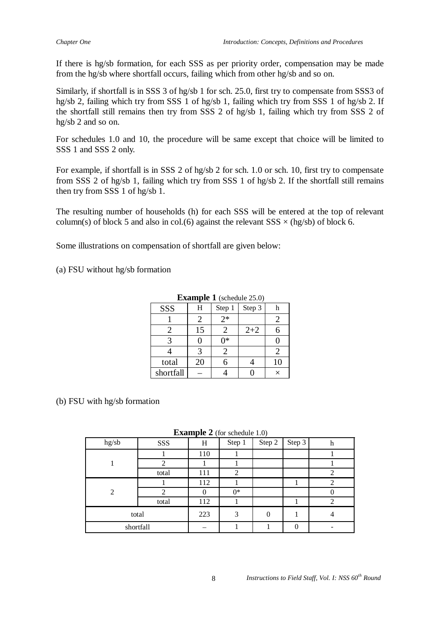If there is hg/sb formation, for each SSS as per priority order, compensation may be made from the hg/sb where shortfall occurs, failing which from other hg/sb and so on.

Similarly, if shortfall is in SSS 3 of hg/sb 1 for sch. 25.0, first try to compensate from SSS3 of hg/sb 2, failing which try from SSS 1 of hg/sb 1, failing which try from SSS 1 of hg/sb 2. If the shortfall still remains then try from SSS 2 of hg/sb 1, failing which try from SSS 2 of hg/sb 2 and so on.

For schedules 1.0 and 10, the procedure will be same except that choice will be limited to SSS 1 and SSS 2 only.

For example, if shortfall is in SSS 2 of hg/sb 2 for sch. 1.0 or sch. 10, first try to compensate from SSS 2 of hg/sb 1, failing which try from SSS 1 of hg/sb 2. If the shortfall still remains then try from SSS 1 of hg/sb 1.

The resulting number of households (h) for each SSS will be entered at the top of relevant column(s) of block 5 and also in col.(6) against the relevant  $SSS \times (hg/sb)$  of block 6.

Some illustrations on compensation of shortfall are given below:

(a) FSU without hg/sb formation

| <b>EXAMPLE 1</b> (SCHOUGH 20.0) |    |        |         |          |  |  |  |
|---------------------------------|----|--------|---------|----------|--|--|--|
| SSS                             | Н  | Step 1 | Step 3  |          |  |  |  |
|                                 |    | $2*$   |         |          |  |  |  |
|                                 | 15 |        | $2 + 2$ |          |  |  |  |
|                                 |    | ∩∗     |         |          |  |  |  |
|                                 | 3  |        |         |          |  |  |  |
| total                           | 20 |        |         | 10       |  |  |  |
| shortfall                       |    |        |         | $\times$ |  |  |  |

#### **Example 1** (schedule 25.0)

### (b) FSU with hg/sb formation

|  | <b>Example 2</b> (for schedule 1.0) |
|--|-------------------------------------|
|--|-------------------------------------|

| hg/sb          | SSS   | - <b>-</b> -<br>Η | Step 1 | <br>Step 2 | Step 3   | h |
|----------------|-------|-------------------|--------|------------|----------|---|
|                |       | 110               |        |            |          |   |
|                |       |                   |        |            |          |   |
|                | total | 111               | 2      |            |          |   |
| $\mathfrak{D}$ |       | 112               |        |            |          | ∍ |
|                |       |                   | $0*$   |            |          |   |
|                | total | 112               |        |            |          | 2 |
|                | total | 223               | 3      | $\theta$   |          |   |
| shortfall      |       |                   |        |            | $\left($ |   |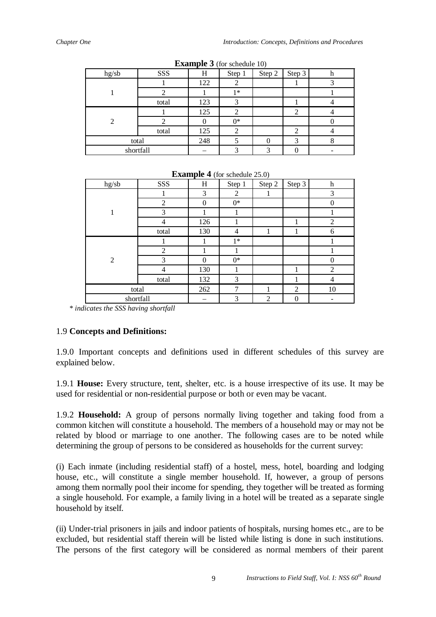|                |       |     |        | $\overline{\phantom{a}}$ |        |   |
|----------------|-------|-----|--------|--------------------------|--------|---|
| hg/sb          | SSS   | Н   | Step 1 | Step 2                   | Step 3 | h |
|                |       | 122 |        |                          |        |   |
|                |       |     | $1*$   |                          |        |   |
|                | total | 123 | 3      |                          |        |   |
| $\mathfrak{D}$ |       | 125 |        |                          | ◠      |   |
|                |       |     | $0*$   |                          |        |   |
|                | total | 125 | 2      |                          | ി      |   |
| total          |       | 248 |        |                          | 3      |   |
| shortfall      |       |     |        | ◠                        |        |   |

**Example 3** (for schedule 10)

| hg/sb          | SSS            | H        | Step 1         | Step 2         | Step 3         | $\mathbf h$    |  |  |
|----------------|----------------|----------|----------------|----------------|----------------|----------------|--|--|
|                |                | 3        | $\overline{c}$ |                |                | 3              |  |  |
|                | 2              | $\theta$ | $0*$           |                |                | $\theta$       |  |  |
|                | 3              |          |                |                |                |                |  |  |
|                | 4              | 126      |                |                |                | $\overline{2}$ |  |  |
|                | total          | 130      | 4              | 1              | 1              | 6              |  |  |
| $\overline{2}$ |                |          | $1*$           |                |                |                |  |  |
|                | $\overline{2}$ |          |                |                |                |                |  |  |
|                | 3              | $\Omega$ | $0*$           |                |                | $\Omega$       |  |  |
|                | 4              | 130      |                |                |                | $\overline{2}$ |  |  |
|                | total          | 132      | 3              |                | 1              | 4              |  |  |
| total          |                | 262      | 7              |                | $\overline{2}$ | 10             |  |  |
| shortfall      |                |          | 3              | $\overline{2}$ | $\Omega$       |                |  |  |

**Example 4** (for schedule  $25.0$ )

*\* indicates the SSS having shortfall*

# 1.9 **Concepts and Definitions:**

1.9.0 Important concepts and definitions used in different schedules of this survey are explained below.

1.9.1 **House:** Every structure, tent, shelter, etc. is a house irrespective of its use. It may be used for residential or non-residential purpose or both or even may be vacant.

1.9.2 **Household:** A group of persons normally living together and taking food from a common kitchen will constitute a household. The members of a household may or may not be related by blood or marriage to one another. The following cases are to be noted while determining the group of persons to be considered as households for the current survey:

(i) Each inmate (including residential staff) of a hostel, mess, hotel, boarding and lodging house, etc., will constitute a single member household. If, however, a group of persons among them normally pool their income for spending, they together will be treated as forming a single household. For example, a family living in a hotel will be treated as a separate single household by itself.

(ii) Under-trial prisoners in jails and indoor patients of hospitals, nursing homes etc., are to be excluded, but residential staff therein will be listed while listing is done in such institutions. The persons of the first category will be considered as normal members of their parent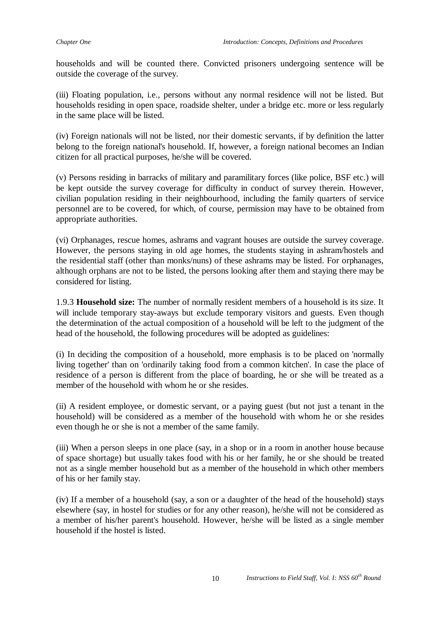households and will be counted there. Convicted prisoners undergoing sentence will be outside the coverage of the survey.

(iii) Floating population, i.e., persons without any normal residence will not be listed. But households residing in open space, roadside shelter, under a bridge etc. more or less regularly in the same place will be listed.

(iv) Foreign nationals will not be listed, nor their domestic servants, if by definition the latter belong to the foreign national's household. If, however, a foreign national becomes an Indian citizen for all practical purposes, he/she will be covered.

(v) Persons residing in barracks of military and paramilitary forces (like police, BSF etc.) will be kept outside the survey coverage for difficulty in conduct of survey therein. However, civilian population residing in their neighbourhood, including the family quarters of service personnel are to be covered, for which, of course, permission may have to be obtained from appropriate authorities.

(vi) Orphanages, rescue homes, ashrams and vagrant houses are outside the survey coverage. However, the persons staying in old age homes, the students staying in ashram/hostels and the residential staff (other than monks/nuns) of these ashrams may be listed. For orphanages, although orphans are not to be listed, the persons looking after them and staying there may be considered for listing.

1.9.3 **Household size:** The number of normally resident members of a household is its size. It will include temporary stay-aways but exclude temporary visitors and guests. Even though the determination of the actual composition of a household will be left to the judgment of the head of the household, the following procedures will be adopted as guidelines:

(i) In deciding the composition of a household, more emphasis is to be placed on 'normally living together' than on 'ordinarily taking food from a common kitchen'. In case the place of residence of a person is different from the place of boarding, he or she will be treated as a member of the household with whom he or she resides.

(ii) A resident employee, or domestic servant, or a paying guest (but not just a tenant in the household) will be considered as a member of the household with whom he or she resides even though he or she is not a member of the same family.

(iii) When a person sleeps in one place (say, in a shop or in a room in another house because of space shortage) but usually takes food with his or her family, he or she should be treated not as a single member household but as a member of the household in which other members of his or her family stay.

(iv) If a member of a household (say, a son or a daughter of the head of the household) stays elsewhere (say, in hostel for studies or for any other reason), he/she will not be considered as a member of his/her parent's household. However, he/she will be listed as a single member household if the hostel is listed.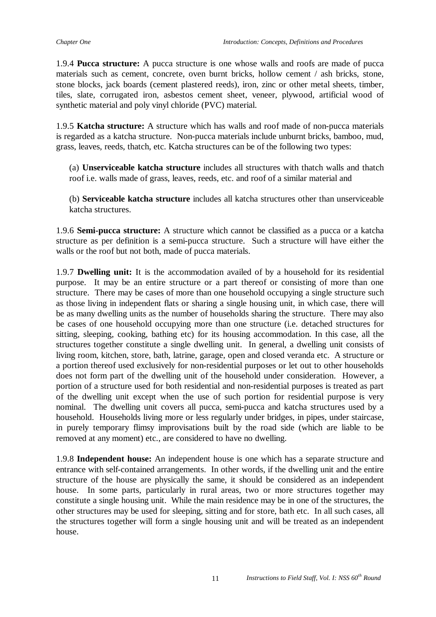1.9.4 **Pucca structure:** A pucca structure is one whose walls and roofs are made of pucca materials such as cement, concrete, oven burnt bricks, hollow cement / ash bricks, stone, stone blocks, jack boards (cement plastered reeds), iron, zinc or other metal sheets, timber, tiles, slate, corrugated iron, asbestos cement sheet, veneer, plywood, artificial wood of synthetic material and poly vinyl chloride (PVC) material.

1.9.5 **Katcha structure:** A structure which has walls and roof made of non-pucca materials is regarded as a katcha structure. Non-pucca materials include unburnt bricks, bamboo, mud, grass, leaves, reeds, thatch, etc. Katcha structures can be of the following two types:

(a) **Unserviceable katcha structure** includes all structures with thatch walls and thatch roof i.e. walls made of grass, leaves, reeds, etc. and roof of a similar material and

(b) **Serviceable katcha structure** includes all katcha structures other than unserviceable katcha structures.

1.9.6 **Semi-pucca structure:** A structure which cannot be classified as a pucca or a katcha structure as per definition is a semi-pucca structure. Such a structure will have either the walls or the roof but not both, made of pucca materials.

1.9.7 **Dwelling unit:** It is the accommodation availed of by a household for its residential purpose. It may be an entire structure or a part thereof or consisting of more than one structure. There may be cases of more than one household occupying a single structure such as those living in independent flats or sharing a single housing unit, in which case, there will be as many dwelling units as the number of households sharing the structure. There may also be cases of one household occupying more than one structure (i.e. detached structures for sitting, sleeping, cooking, bathing etc) for its housing accommodation. In this case, all the structures together constitute a single dwelling unit. In general, a dwelling unit consists of living room, kitchen, store, bath, latrine, garage, open and closed veranda etc. A structure or a portion thereof used exclusively for non-residential purposes or let out to other households does not form part of the dwelling unit of the household under consideration. However, a portion of a structure used for both residential and non-residential purposes is treated as part of the dwelling unit except when the use of such portion for residential purpose is very nominal. The dwelling unit covers all pucca, semi-pucca and katcha structures used by a household. Households living more or less regularly under bridges, in pipes, under staircase, in purely temporary flimsy improvisations built by the road side (which are liable to be removed at any moment) etc., are considered to have no dwelling.

1.9.8 **Independent house:** An independent house is one which has a separate structure and entrance with self-contained arrangements. In other words, if the dwelling unit and the entire structure of the house are physically the same, it should be considered as an independent house. In some parts, particularly in rural areas, two or more structures together may constitute a single housing unit. While the main residence may be in one of the structures, the other structures may be used for sleeping, sitting and for store, bath etc. In all such cases, all the structures together will form a single housing unit and will be treated as an independent house.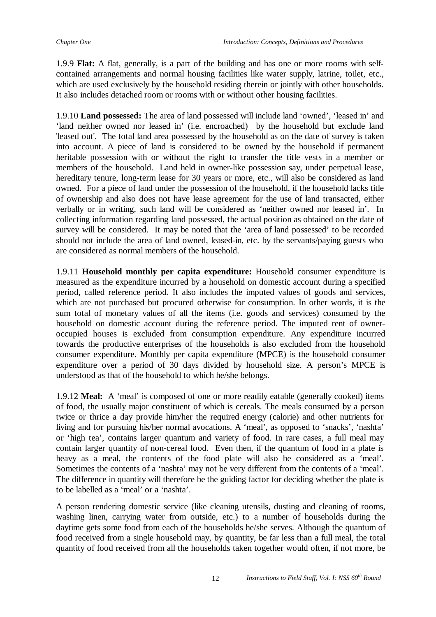1.9.9 **Flat:** A flat, generally, is a part of the building and has one or more rooms with selfcontained arrangements and normal housing facilities like water supply, latrine, toilet, etc., which are used exclusively by the household residing therein or jointly with other households. It also includes detached room or rooms with or without other housing facilities.

1.9.10 **Land possessed:** The area of land possessed will include land 'owned', 'leased in' and 'land neither owned nor leased in' (i.e. encroached) by the household but exclude land 'leased out'. The total land area possessed by the household as on the date of survey is taken into account. A piece of land is considered to be owned by the household if permanent heritable possession with or without the right to transfer the title vests in a member or members of the household. Land held in owner-like possession say, under perpetual lease, hereditary tenure, long-term lease for 30 years or more, etc., will also be considered as land owned. For a piece of land under the possession of the household, if the household lacks title of ownership and also does not have lease agreement for the use of land transacted, either verbally or in writing, such land will be considered as 'neither owned nor leased in'. In collecting information regarding land possessed, the actual position as obtained on the date of survey will be considered. It may be noted that the 'area of land possessed' to be recorded should not include the area of land owned, leased-in, etc. by the servants/paying guests who are considered as normal members of the household.

1.9.11 **Household monthly per capita expenditure:** Household consumer expenditure is measured as the expenditure incurred by a household on domestic account during a specified period, called reference period. It also includes the imputed values of goods and services, which are not purchased but procured otherwise for consumption. In other words, it is the sum total of monetary values of all the items (i.e. goods and services) consumed by the household on domestic account during the reference period. The imputed rent of owneroccupied houses is excluded from consumption expenditure. Any expenditure incurred towards the productive enterprises of the households is also excluded from the household consumer expenditure. Monthly per capita expenditure (MPCE) is the household consumer expenditure over a period of 30 days divided by household size. A person's MPCE is understood as that of the household to which he/she belongs.

1.9.12 **Meal:** A 'meal' is composed of one or more readily eatable (generally cooked) items of food, the usually major constituent of which is cereals. The meals consumed by a person twice or thrice a day provide him/her the required energy (calorie) and other nutrients for living and for pursuing his/her normal avocations. A 'meal', as opposed to 'snacks', 'nashta' or 'high tea', contains larger quantum and variety of food. In rare cases, a full meal may contain larger quantity of non-cereal food. Even then, if the quantum of food in a plate is heavy as a meal, the contents of the food plate will also be considered as a 'meal'. Sometimes the contents of a 'nashta' may not be very different from the contents of a 'meal'. The difference in quantity will therefore be the guiding factor for deciding whether the plate is to be labelled as a 'meal' or a 'nashta'.

A person rendering domestic service (like cleaning utensils, dusting and cleaning of rooms, washing linen, carrying water from outside, etc.) to a number of households during the daytime gets some food from each of the households he/she serves. Although the quantum of food received from a single household may, by quantity, be far less than a full meal, the total quantity of food received from all the households taken together would often, if not more, be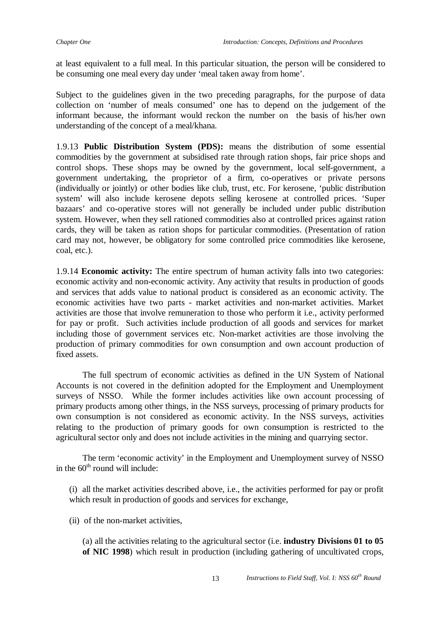at least equivalent to a full meal. In this particular situation, the person will be considered to be consuming one meal every day under 'meal taken away from home'.

Subject to the guidelines given in the two preceding paragraphs, for the purpose of data collection on 'number of meals consumed' one has to depend on the judgement of the informant because, the informant would reckon the number on the basis of his/her own understanding of the concept of a meal/khana.

1.9.13 **Public Distribution System (PDS):** means the distribution of some essential commodities by the government at subsidised rate through ration shops, fair price shops and control shops. These shops may be owned by the government, local self-government, a government undertaking, the proprietor of a firm, co-operatives or private persons (individually or jointly) or other bodies like club, trust, etc. For kerosene, 'public distribution system' will also include kerosene depots selling kerosene at controlled prices. 'Super bazaars' and co-operative stores will not generally be included under public distribution system. However, when they sell rationed commodities also at controlled prices against ration cards, they will be taken as ration shops for particular commodities. (Presentation of ration card may not, however, be obligatory for some controlled price commodities like kerosene, coal, etc.).

1.9.14 **Economic activity:** The entire spectrum of human activity falls into two categories: economic activity and non-economic activity. Any activity that results in production of goods and services that adds value to national product is considered as an economic activity. The economic activities have two parts - market activities and non-market activities. Market activities are those that involve remuneration to those who perform it i.e., activity performed for pay or profit. Such activities include production of all goods and services for market including those of government services etc. Non-market activities are those involving the production of primary commodities for own consumption and own account production of fixed assets.

The full spectrum of economic activities as defined in the UN System of National Accounts is not covered in the definition adopted for the Employment and Unemployment surveys of NSSO. While the former includes activities like own account processing of primary products among other things, in the NSS surveys, processing of primary products for own consumption is not considered as economic activity. In the NSS surveys, activities relating to the production of primary goods for own consumption is restricted to the agricultural sector only and does not include activities in the mining and quarrying sector.

The term 'economic activity' in the Employment and Unemployment survey of NSSO in the  $60<sup>th</sup>$  round will include:

(i) all the market activities described above, i.e., the activities performed for pay or profit which result in production of goods and services for exchange,

(ii) of the non-market activities,

(a) all the activities relating to the agricultural sector (i.e. **industry Divisions 01 to 05 of NIC 1998**) which result in production (including gathering of uncultivated crops,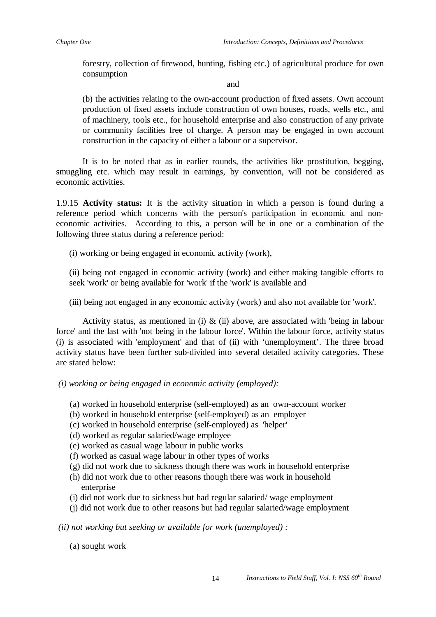forestry, collection of firewood, hunting, fishing etc.) of agricultural produce for own consumption

#### and

(b) the activities relating to the own-account production of fixed assets. Own account production of fixed assets include construction of own houses, roads, wells etc., and of machinery, tools etc., for household enterprise and also construction of any private or community facilities free of charge. A person may be engaged in own account construction in the capacity of either a labour or a supervisor.

It is to be noted that as in earlier rounds, the activities like prostitution, begging, smuggling etc. which may result in earnings, by convention, will not be considered as economic activities.

1.9.15 **Activity status:** It is the activity situation in which a person is found during a reference period which concerns with the person's participation in economic and noneconomic activities. According to this, a person will be in one or a combination of the following three status during a reference period:

(i) working or being engaged in economic activity (work),

(ii) being not engaged in economic activity (work) and either making tangible efforts to seek 'work' or being available for 'work' if the 'work' is available and

(iii) being not engaged in any economic activity (work) and also not available for 'work'.

Activity status, as mentioned in (i)  $\&$  (ii) above, are associated with 'being in labour force' and the last with 'not being in the labour force'. Within the labour force, activity status (i) is associated with 'employment' and that of (ii) with 'unemployment'. The three broad activity status have been further sub-divided into several detailed activity categories. These are stated below:

- *(i) working or being engaged in economic activity (employed):* 
	- (a) worked in household enterprise (self-employed) as an own-account worker
	- (b) worked in household enterprise (self-employed) as an employer
	- (c) worked in household enterprise (self-employed) as 'helper'
	- (d) worked as regular salaried/wage employee
	- (e) worked as casual wage labour in public works
	- (f) worked as casual wage labour in other types of works
	- (g) did not work due to sickness though there was work in household enterprise
	- (h) did not work due to other reasons though there was work in household enterprise
	- (i) did not work due to sickness but had regular salaried/ wage employment
	- (j) did not work due to other reasons but had regular salaried/wage employment

*(ii) not working but seeking or available for work (unemployed) :* 

(a) sought work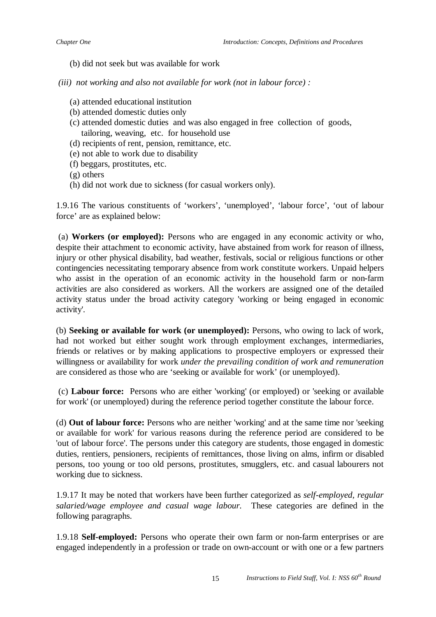- (b) did not seek but was available for work
- *(iii) not working and also not available for work (not in labour force) :*
	- (a) attended educational institution
	- (b) attended domestic duties only
	- (c) attended domestic duties and was also engaged in free collection of goods, tailoring, weaving, etc. for household use
	- (d) recipients of rent, pension, remittance, etc.
	- (e) not able to work due to disability
	- (f) beggars, prostitutes, etc.
	- (g) others
	- (h) did not work due to sickness (for casual workers only).

1.9.16 The various constituents of 'workers', 'unemployed', 'labour force', 'out of labour force' are as explained below:

(a) **Workers (or employed):** Persons who are engaged in any economic activity or who, despite their attachment to economic activity, have abstained from work for reason of illness, injury or other physical disability, bad weather, festivals, social or religious functions or other contingencies necessitating temporary absence from work constitute workers. Unpaid helpers who assist in the operation of an economic activity in the household farm or non-farm activities are also considered as workers. All the workers are assigned one of the detailed activity status under the broad activity category 'working or being engaged in economic activity'.

(b) **Seeking or available for work (or unemployed):** Persons, who owing to lack of work, had not worked but either sought work through employment exchanges, intermediaries, friends or relatives or by making applications to prospective employers or expressed their willingness or availability for work *under the prevailing condition of work and remuneration* are considered as those who are 'seeking or available for work' (or unemployed).

(c) **Labour force:** Persons who are either 'working' (or employed) or 'seeking or available for work' (or unemployed) during the reference period together constitute the labour force.

(d) **Out of labour force:** Persons who are neither 'working' and at the same time nor 'seeking or available for work' for various reasons during the reference period are considered to be 'out of labour force'. The persons under this category are students, those engaged in domestic duties, rentiers, pensioners, recipients of remittances, those living on alms, infirm or disabled persons, too young or too old persons, prostitutes, smugglers, etc. and casual labourers not working due to sickness.

1.9.17 It may be noted that workers have been further categorized as *self-employed, regular salaried/wage employee and casual wage labour.* These categories are defined in the following paragraphs.

1.9.18 **Self-employed:** Persons who operate their own farm or non-farm enterprises or are engaged independently in a profession or trade on own-account or with one or a few partners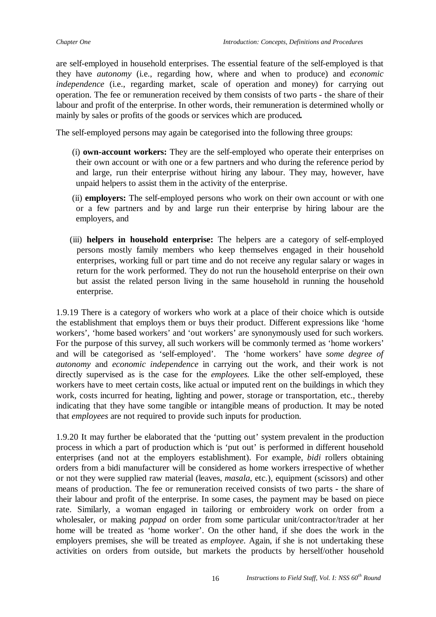are self-employed in household enterprises. The essential feature of the self-employed is that they have *autonomy* (i.e., regarding how, where and when to produce) and *economic independence* (i.e., regarding market, scale of operation and money) for carrying out operation. The fee or remuneration received by them consists of two parts - the share of their labour and profit of the enterprise. In other words, their remuneration is determined wholly or mainly by sales or profits of the goods or services which are produced*.*

The self-employed persons may again be categorised into the following three groups:

- (i) **own-account workers:** They are the self-employed who operate their enterprises on their own account or with one or a few partners and who during the reference period by and large, run their enterprise without hiring any labour. They may, however, have unpaid helpers to assist them in the activity of the enterprise.
- (ii) **employers:** The self-employed persons who work on their own account or with one or a few partners and by and large run their enterprise by hiring labour are the employers, and
- (iii) **helpers in household enterprise:** The helpers are a category of self-employed persons mostly family members who keep themselves engaged in their household enterprises, working full or part time and do not receive any regular salary or wages in return for the work performed. They do not run the household enterprise on their own but assist the related person living in the same household in running the household enterprise.

1.9.19 There is a category of workers who work at a place of their choice which is outside the establishment that employs them or buys their product. Different expressions like 'home workers', 'home based workers' and 'out workers' are synonymously used for such workers. For the purpose of this survey, all such workers will be commonly termed as 'home workers' and will be categorised as 'self-employed'. The 'home workers' have *some degree of autonomy* and *economic independence* in carrying out the work, and their work is not directly supervised as is the case for the *employees.* Like the other self-employed, these workers have to meet certain costs, like actual or imputed rent on the buildings in which they work, costs incurred for heating, lighting and power, storage or transportation, etc., thereby indicating that they have some tangible or intangible means of production. It may be noted that *employees* are not required to provide such inputs for production.

1.9.20 It may further be elaborated that the 'putting out' system prevalent in the production process in which a part of production which is 'put out' is performed in different household enterprises (and not at the employers establishment). For example, *bidi* rollers obtaining orders from a bidi manufacturer will be considered as home workers irrespective of whether or not they were supplied raw material (leaves, *masala*, etc.), equipment (scissors) and other means of production. The fee or remuneration received consists of two parts - the share of their labour and profit of the enterprise. In some cases, the payment may be based on piece rate. Similarly, a woman engaged in tailoring or embroidery work on order from a wholesaler, or making *pappad* on order from some particular unit/contractor/trader at her home will be treated as 'home worker'. On the other hand, if she does the work in the employers premises, she will be treated as *employee*. Again, if she is not undertaking these activities on orders from outside, but markets the products by herself/other household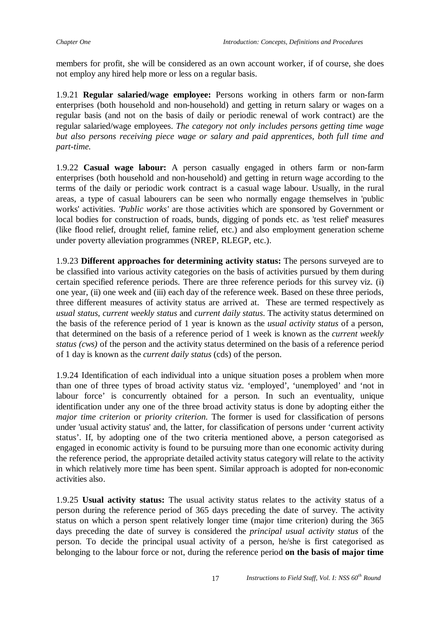members for profit, she will be considered as an own account worker, if of course, she does not employ any hired help more or less on a regular basis.

1.9.21 **Regular salaried/wage employee:** Persons working in others farm or non-farm enterprises (both household and non-household) and getting in return salary or wages on a regular basis (and not on the basis of daily or periodic renewal of work contract) are the regular salaried/wage employees. *The category not only includes persons getting time wage but also persons receiving piece wage or salary and paid apprentices, both full time and part-time.*

1.9.22 **Casual wage labour:** A person casually engaged in others farm or non-farm enterprises (both household and non-household) and getting in return wage according to the terms of the daily or periodic work contract is a casual wage labour. Usually, in the rural areas, a type of casual labourers can be seen who normally engage themselves in 'public works' activities. *'Public works'* are those activities which are sponsored by Government or local bodies for construction of roads, bunds, digging of ponds etc. as 'test relief' measures (like flood relief, drought relief, famine relief, etc.) and also employment generation scheme under poverty alleviation programmes (NREP, RLEGP, etc.).

1.9.23 **Different approaches for determining activity status:** The persons surveyed are to be classified into various activity categories on the basis of activities pursued by them during certain specified reference periods. There are three reference periods for this survey viz. (i) one year, (ii) one week and (iii) each day of the reference week. Based on these three periods, three different measures of activity status are arrived at. These are termed respectively as *usual status*, *current weekly status* and *current daily status*. The activity status determined on the basis of the reference period of 1 year is known as the *usual activity status* of a person, that determined on the basis of a reference period of 1 week is known as the *current weekly status (cws)* of the person and the activity status determined on the basis of a reference period of 1 day is known as the *current daily status* (cds) of the person.

1.9.24 Identification of each individual into a unique situation poses a problem when more than one of three types of broad activity status viz. 'employed', 'unemployed' and 'not in labour force' is concurrently obtained for a person. In such an eventuality, unique identification under any one of the three broad activity status is done by adopting either the *major time criterion* or *priority criterion.* The former is used for classification of persons under 'usual activity status' and, the latter, for classification of persons under 'current activity status'. If, by adopting one of the two criteria mentioned above, a person categorised as engaged in economic activity is found to be pursuing more than one economic activity during the reference period, the appropriate detailed activity status category will relate to the activity in which relatively more time has been spent. Similar approach is adopted for non-economic activities also.

1.9.25 **Usual activity status:** The usual activity status relates to the activity status of a person during the reference period of 365 days preceding the date of survey. The activity status on which a person spent relatively longer time (major time criterion) during the 365 days preceding the date of survey is considered the *principal usual activity status* of the person. To decide the principal usual activity of a person, he/she is first categorised as belonging to the labour force or not, during the reference period **on the basis of major time**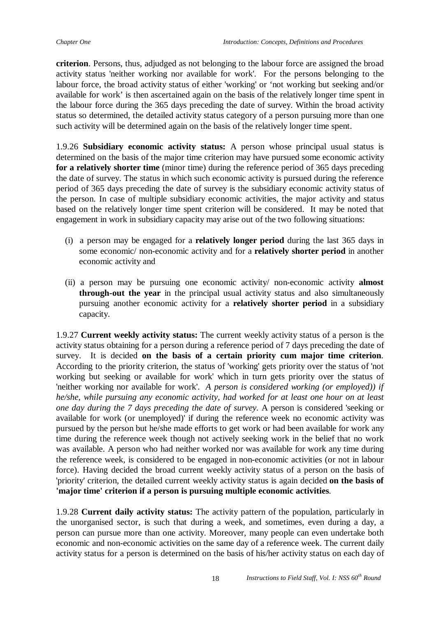**criterion**. Persons, thus, adjudged as not belonging to the labour force are assigned the broad activity status 'neither working nor available for work'. For the persons belonging to the labour force, the broad activity status of either 'working' or 'not working but seeking and/or available for work' is then ascertained again on the basis of the relatively longer time spent in the labour force during the 365 days preceding the date of survey. Within the broad activity status so determined, the detailed activity status category of a person pursuing more than one such activity will be determined again on the basis of the relatively longer time spent.

1.9.26 **Subsidiary economic activity status:** A person whose principal usual status is determined on the basis of the major time criterion may have pursued some economic activity **for a relatively shorter time** (minor time) during the reference period of 365 days preceding the date of survey. The status in which such economic activity is pursued during the reference period of 365 days preceding the date of survey is the subsidiary economic activity status of the person. In case of multiple subsidiary economic activities, the major activity and status based on the relatively longer time spent criterion will be considered. It may be noted that engagement in work in subsidiary capacity may arise out of the two following situations:

- (i) a person may be engaged for a **relatively longer period** during the last 365 days in some economic/ non-economic activity and for a **relatively shorter period** in another economic activity and
- (ii) a person may be pursuing one economic activity/ non-economic activity **almost through-out the year** in the principal usual activity status and also simultaneously pursuing another economic activity for a **relatively shorter period** in a subsidiary capacity.

1.9.27 **Current weekly activity status:** The current weekly activity status of a person is the activity status obtaining for a person during a reference period of 7 days preceding the date of survey. It is decided **on the basis of a certain priority cum major time criterion**. According to the priority criterion, the status of 'working' gets priority over the status of 'not working but seeking or available for work' which in turn gets priority over the status of 'neither working nor available for work'. *A person is considered working (or employed)) if he/she, while pursuing any economic activity, had worked for at least one hour on at least one day during the 7 days preceding the date of survey.* A person is considered 'seeking or available for work (or unemployed)' if during the reference week no economic activity was pursued by the person but he/she made efforts to get work or had been available for work any time during the reference week though not actively seeking work in the belief that no work was available. A person who had neither worked nor was available for work any time during the reference week, is considered to be engaged in non-economic activities (or not in labour force). Having decided the broad current weekly activity status of a person on the basis of 'priority' criterion, the detailed current weekly activity status is again decided **on the basis of 'major time' criterion if a person is pursuing multiple economic activities**.

1.9.28 **Current daily activity status:** The activity pattern of the population, particularly in the unorganised sector, is such that during a week, and sometimes, even during a day, a person can pursue more than one activity. Moreover, many people can even undertake both economic and non-economic activities on the same day of a reference week. The current daily activity status for a person is determined on the basis of his/her activity status on each day of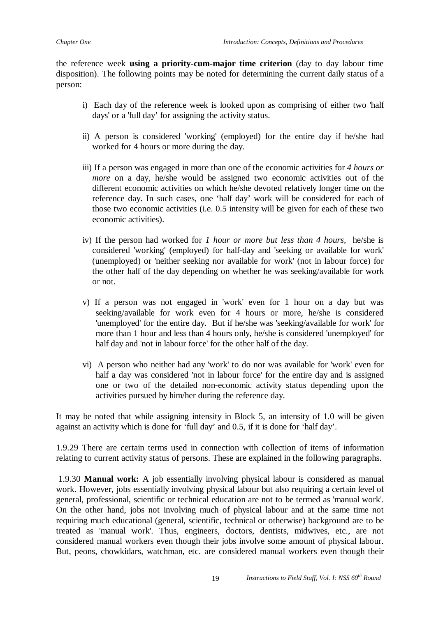the reference week **using a priority-cum-major time criterion** (day to day labour time disposition). The following points may be noted for determining the current daily status of a person:

- i) Each day of the reference week is looked upon as comprising of either two 'half days' or a 'full day' for assigning the activity status.
- ii) A person is considered 'working' (employed) for the entire day if he/she had worked for 4 hours or more during the day.
- iii) If a person was engaged in more than one of the economic activities for *4 hours or more* on a day, he/she would be assigned two economic activities out of the different economic activities on which he/she devoted relatively longer time on the reference day. In such cases, one 'half day' work will be considered for each of those two economic activities (i.e. 0.5 intensity will be given for each of these two economic activities).
- iv) If the person had worked for *1 hour or more but less than 4 hours,* he/she is considered 'working' (employed) for half-day and 'seeking or available for work' (unemployed) or 'neither seeking nor available for work' (not in labour force) for the other half of the day depending on whether he was seeking/available for work or not.
- v) If a person was not engaged in 'work' even for 1 hour on a day but was seeking/available for work even for 4 hours or more, he/she is considered 'unemployed' for the entire day. But if he/she was 'seeking/available for work' for more than 1 hour and less than 4 hours only, he/she is considered 'unemployed' for half day and 'not in labour force' for the other half of the day.
- vi) A person who neither had any 'work' to do nor was available for 'work' even for half a day was considered 'not in labour force' for the entire day and is assigned one or two of the detailed non-economic activity status depending upon the activities pursued by him/her during the reference day.

It may be noted that while assigning intensity in Block 5, an intensity of 1.0 will be given against an activity which is done for 'full day' and 0.5, if it is done for 'half day'.

1.9.29 There are certain terms used in connection with collection of items of information relating to current activity status of persons. These are explained in the following paragraphs.

1.9.30 **Manual work:** A job essentially involving physical labour is considered as manual work. However, jobs essentially involving physical labour but also requiring a certain level of general, professional, scientific or technical education are not to be termed as 'manual work'. On the other hand, jobs not involving much of physical labour and at the same time not requiring much educational (general, scientific, technical or otherwise) background are to be treated as 'manual work'. Thus, engineers, doctors, dentists, midwives, etc., are not considered manual workers even though their jobs involve some amount of physical labour. But, peons, chowkidars, watchman, etc. are considered manual workers even though their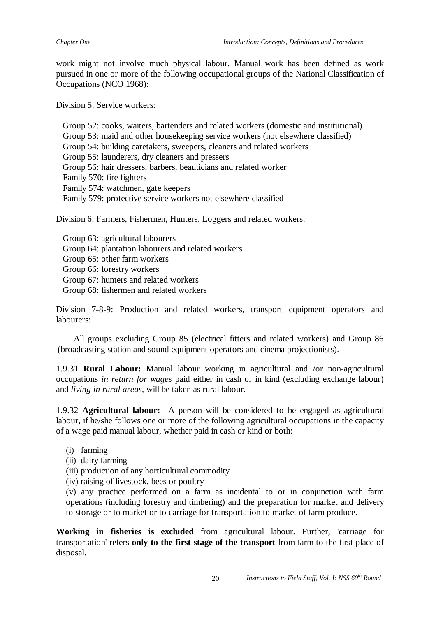work might not involve much physical labour. Manual work has been defined as work pursued in one or more of the following occupational groups of the National Classification of Occupations (NCO 1968):

Division 5: Service workers:

Group 52: cooks, waiters, bartenders and related workers (domestic and institutional) Group 53: maid and other housekeeping service workers (not elsewhere classified) Group 54: building caretakers, sweepers, cleaners and related workers Group 55: launderers, dry cleaners and pressers Group 56: hair dressers, barbers, beauticians and related worker Family 570: fire fighters Family 574: watchmen, gate keepers Family 579: protective service workers not elsewhere classified

Division 6: Farmers, Fishermen, Hunters, Loggers and related workers:

Group 63: agricultural labourers Group 64: plantation labourers and related workers Group 65: other farm workers Group 66: forestry workers Group 67: hunters and related workers Group 68: fishermen and related workers

Division 7-8-9: Production and related workers, transport equipment operators and labourers:

 All groups excluding Group 85 (electrical fitters and related workers) and Group 86 (broadcasting station and sound equipment operators and cinema projectionists).

1.9.31 **Rural Labour:** Manual labour working in agricultural and /or non-agricultural occupations *in return for wages* paid either in cash or in kind (excluding exchange labour) and *living in rural areas*, will be taken as rural labour.

1.9.32 **Agricultural labour:** A person will be considered to be engaged as agricultural labour, if he/she follows one or more of the following agricultural occupations in the capacity of a wage paid manual labour, whether paid in cash or kind or both:

- (i) farming
- (ii) dairy farming
- (iii) production of any horticultural commodity
- (iv) raising of livestock, bees or poultry

(v) any practice performed on a farm as incidental to or in conjunction with farm operations (including forestry and timbering) and the preparation for market and delivery to storage or to market or to carriage for transportation to market of farm produce.

**Working in fisheries is excluded** from agricultural labour. Further, 'carriage for transportation' refers **only to the first stage of the transport** from farm to the first place of disposal.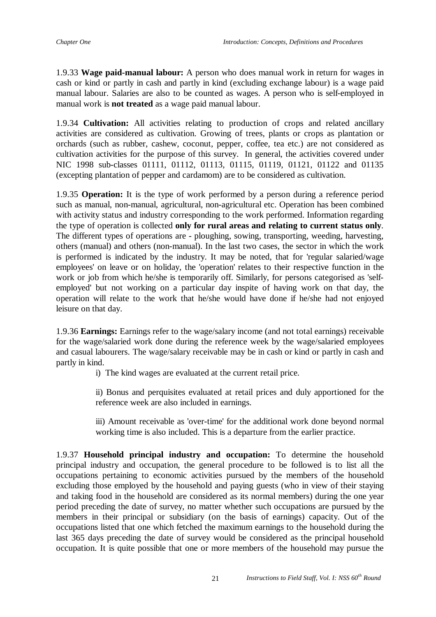1.9.33 **Wage paid-manual labour:** A person who does manual work in return for wages in cash or kind or partly in cash and partly in kind (excluding exchange labour) is a wage paid manual labour. Salaries are also to be counted as wages. A person who is self-employed in manual work is **not treated** as a wage paid manual labour.

1.9.34 **Cultivation:** All activities relating to production of crops and related ancillary activities are considered as cultivation. Growing of trees, plants or crops as plantation or orchards (such as rubber, cashew, coconut, pepper, coffee, tea etc.) are not considered as cultivation activities for the purpose of this survey. In general, the activities covered under NIC 1998 sub-classes 01111, 01112, 01113, 01115, 01119, 01121, 01122 and 01135 (excepting plantation of pepper and cardamom) are to be considered as cultivation.

1.9.35 **Operation:** It is the type of work performed by a person during a reference period such as manual, non-manual, agricultural, non-agricultural etc. Operation has been combined with activity status and industry corresponding to the work performed. Information regarding the type of operation is collected **only for rural areas and relating to current status only**. The different types of operations are - ploughing, sowing, transporting, weeding, harvesting, others (manual) and others (non-manual). In the last two cases, the sector in which the work is performed is indicated by the industry. It may be noted, that for 'regular salaried/wage employees' on leave or on holiday, the 'operation' relates to their respective function in the work or job from which he/she is temporarily off. Similarly, for persons categorised as 'selfemployed' but not working on a particular day inspite of having work on that day, the operation will relate to the work that he/she would have done if he/she had not enjoyed leisure on that day.

1.9.36 **Earnings:** Earnings refer to the wage/salary income (and not total earnings) receivable for the wage/salaried work done during the reference week by the wage/salaried employees and casual labourers. The wage/salary receivable may be in cash or kind or partly in cash and partly in kind.

i) The kind wages are evaluated at the current retail price.

ii) Bonus and perquisites evaluated at retail prices and duly apportioned for the reference week are also included in earnings.

iii) Amount receivable as 'over-time' for the additional work done beyond normal working time is also included. This is a departure from the earlier practice.

1.9.37 **Household principal industry and occupation:** To determine the household principal industry and occupation, the general procedure to be followed is to list all the occupations pertaining to economic activities pursued by the members of the household excluding those employed by the household and paying guests (who in view of their staying and taking food in the household are considered as its normal members) during the one year period preceding the date of survey, no matter whether such occupations are pursued by the members in their principal or subsidiary (on the basis of earnings) capacity. Out of the occupations listed that one which fetched the maximum earnings to the household during the last 365 days preceding the date of survey would be considered as the principal household occupation. It is quite possible that one or more members of the household may pursue the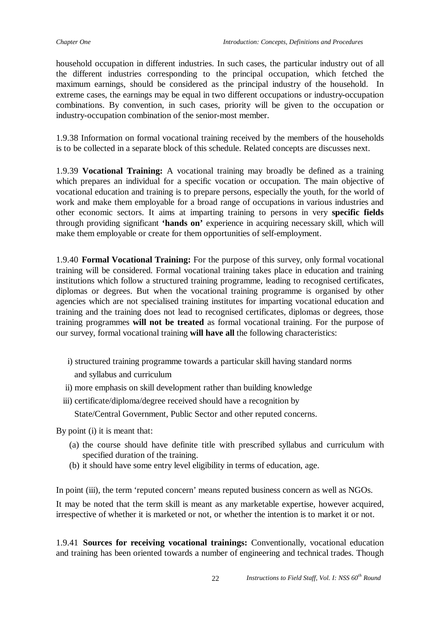household occupation in different industries. In such cases, the particular industry out of all the different industries corresponding to the principal occupation, which fetched the maximum earnings, should be considered as the principal industry of the household. In extreme cases, the earnings may be equal in two different occupations or industry-occupation combinations. By convention, in such cases, priority will be given to the occupation or industry-occupation combination of the senior-most member.

1.9.38 Information on formal vocational training received by the members of the households is to be collected in a separate block of this schedule. Related concepts are discusses next.

1.9.39 **Vocational Training:** A vocational training may broadly be defined as a training which prepares an individual for a specific vocation or occupation. The main objective of vocational education and training is to prepare persons, especially the youth, for the world of work and make them employable for a broad range of occupations in various industries and other economic sectors. It aims at imparting training to persons in very **specific fields** through providing significant **'hands on'** experience in acquiring necessary skill, which will make them employable or create for them opportunities of self-employment.

1.9.40 **Formal Vocational Training:** For the purpose of this survey, only formal vocational training will be considered. Formal vocational training takes place in education and training institutions which follow a structured training programme, leading to recognised certificates, diplomas or degrees. But when the vocational training programme is organised by other agencies which are not specialised training institutes for imparting vocational education and training and the training does not lead to recognised certificates, diplomas or degrees, those training programmes **will not be treated** as formal vocational training. For the purpose of our survey, formal vocational training **will have all** the following characteristics:

- i) structured training programme towards a particular skill having standard norms and syllabus and curriculum
- ii) more emphasis on skill development rather than building knowledge
- iii) certificate/diploma/degree received should have a recognition by

State/Central Government, Public Sector and other reputed concerns.

By point (i) it is meant that:

- (a) the course should have definite title with prescribed syllabus and curriculum with specified duration of the training.
- (b) it should have some entry level eligibility in terms of education, age.

In point (iii), the term 'reputed concern' means reputed business concern as well as NGOs.

It may be noted that the term skill is meant as any marketable expertise, however acquired, irrespective of whether it is marketed or not, or whether the intention is to market it or not.

1.9.41 **Sources for receiving vocational trainings:** Conventionally, vocational education and training has been oriented towards a number of engineering and technical trades. Though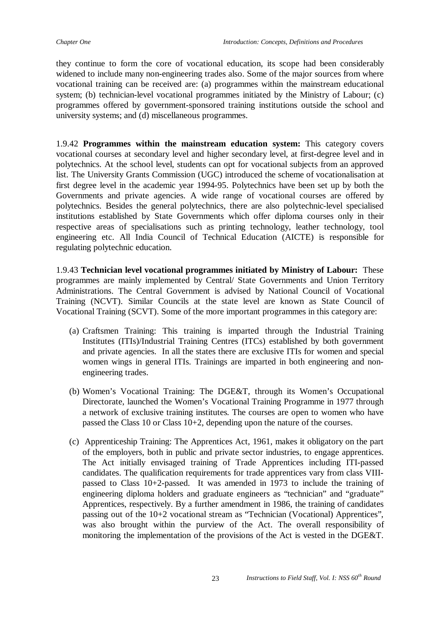they continue to form the core of vocational education, its scope had been considerably widened to include many non-engineering trades also. Some of the major sources from where vocational training can be received are: (a) programmes within the mainstream educational system; (b) technician-level vocational programmes initiated by the Ministry of Labour; (c) programmes offered by government-sponsored training institutions outside the school and university systems; and (d) miscellaneous programmes.

1.9.42 **Programmes within the mainstream education system:** This category covers vocational courses at secondary level and higher secondary level, at first-degree level and in polytechnics. At the school level, students can opt for vocational subjects from an approved list. The University Grants Commission (UGC) introduced the scheme of vocationalisation at first degree level in the academic year 1994-95. Polytechnics have been set up by both the Governments and private agencies. A wide range of vocational courses are offered by polytechnics. Besides the general polytechnics, there are also polytechnic-level specialised institutions established by State Governments which offer diploma courses only in their respective areas of specialisations such as printing technology, leather technology, tool engineering etc. All India Council of Technical Education (AICTE) is responsible for regulating polytechnic education.

1.9.43 **Technician level vocational programmes initiated by Ministry of Labour:** These programmes are mainly implemented by Central/ State Governments and Union Territory Administrations. The Central Government is advised by National Council of Vocational Training (NCVT). Similar Councils at the state level are known as State Council of Vocational Training (SCVT). Some of the more important programmes in this category are:

- (a) Craftsmen Training: This training is imparted through the Industrial Training Institutes (ITIs)/Industrial Training Centres (ITCs) established by both government and private agencies. In all the states there are exclusive ITIs for women and special women wings in general ITIs. Trainings are imparted in both engineering and nonengineering trades.
- (b) Women's Vocational Training: The DGE&T, through its Women's Occupational Directorate, launched the Women's Vocational Training Programme in 1977 through a network of exclusive training institutes. The courses are open to women who have passed the Class 10 or Class 10+2, depending upon the nature of the courses.
- (c) Apprenticeship Training: The Apprentices Act, 1961, makes it obligatory on the part of the employers, both in public and private sector industries, to engage apprentices. The Act initially envisaged training of Trade Apprentices including ITI-passed candidates. The qualification requirements for trade apprentices vary from class VIIIpassed to Class 10+2-passed. It was amended in 1973 to include the training of engineering diploma holders and graduate engineers as "technician" and "graduate" Apprentices, respectively. By a further amendment in 1986, the training of candidates passing out of the 10+2 vocational stream as "Technician (Vocational) Apprentices", was also brought within the purview of the Act. The overall responsibility of monitoring the implementation of the provisions of the Act is vested in the DGE&T.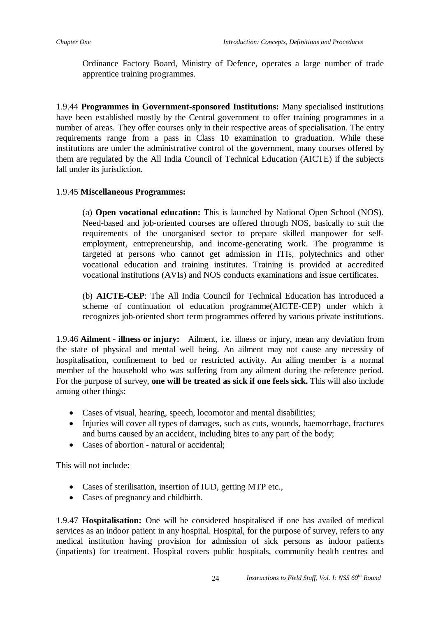Ordinance Factory Board, Ministry of Defence, operates a large number of trade apprentice training programmes.

1.9.44 **Programmes in Government-sponsored Institutions:** Many specialised institutions have been established mostly by the Central government to offer training programmes in a number of areas. They offer courses only in their respective areas of specialisation. The entry requirements range from a pass in Class 10 examination to graduation. While these institutions are under the administrative control of the government, many courses offered by them are regulated by the All India Council of Technical Education (AICTE) if the subjects fall under its jurisdiction.

### 1.9.45 **Miscellaneous Programmes:**

(a) **Open vocational education:** This is launched by National Open School (NOS). Need-based and job-oriented courses are offered through NOS, basically to suit the requirements of the unorganised sector to prepare skilled manpower for selfemployment, entrepreneurship, and income-generating work. The programme is targeted at persons who cannot get admission in ITIs, polytechnics and other vocational education and training institutes. Training is provided at accredited vocational institutions (AVIs) and NOS conducts examinations and issue certificates.

(b) **AICTE-CEP**: The All India Council for Technical Education has introduced a scheme of continuation of education programme(AICTE-CEP) under which it recognizes job-oriented short term programmes offered by various private institutions.

1.9.46 **Ailment - illness or injury:** Ailment, i.e. illness or injury, mean any deviation from the state of physical and mental well being. An ailment may not cause any necessity of hospitalisation, confinement to bed or restricted activity. An ailing member is a normal member of the household who was suffering from any ailment during the reference period. For the purpose of survey, **one will be treated as sick if one feels sick.** This will also include among other things:

- Cases of visual, hearing, speech, locomotor and mental disabilities;
- Injuries will cover all types of damages, such as cuts, wounds, haemorrhage, fractures and burns caused by an accident, including bites to any part of the body;
- Cases of abortion natural or accidental;

This will not include:

- Cases of sterilisation, insertion of IUD, getting MTP etc.,
- Cases of pregnancy and childbirth.

1.9.47 **Hospitalisation:** One will be considered hospitalised if one has availed of medical services as an indoor patient in any hospital. Hospital, for the purpose of survey, refers to any medical institution having provision for admission of sick persons as indoor patients (inpatients) for treatment. Hospital covers public hospitals, community health centres and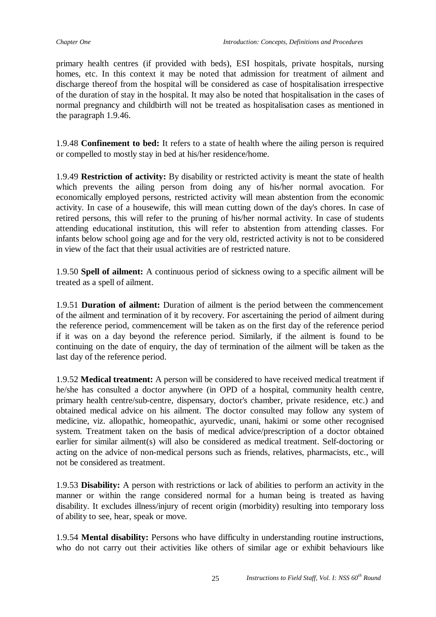primary health centres (if provided with beds), ESI hospitals, private hospitals, nursing homes, etc. In this context it may be noted that admission for treatment of ailment and discharge thereof from the hospital will be considered as case of hospitalisation irrespective of the duration of stay in the hospital. It may also be noted that hospitalisation in the cases of normal pregnancy and childbirth will not be treated as hospitalisation cases as mentioned in the paragraph 1.9.46.

1.9.48 **Confinement to bed:** It refers to a state of health where the ailing person is required or compelled to mostly stay in bed at his/her residence/home.

1.9.49 **Restriction of activity:** By disability or restricted activity is meant the state of health which prevents the ailing person from doing any of his/her normal avocation. For economically employed persons, restricted activity will mean abstention from the economic activity. In case of a housewife, this will mean cutting down of the day's chores. In case of retired persons, this will refer to the pruning of his/her normal activity. In case of students attending educational institution, this will refer to abstention from attending classes. For infants below school going age and for the very old, restricted activity is not to be considered in view of the fact that their usual activities are of restricted nature.

1.9.50 **Spell of ailment:** A continuous period of sickness owing to a specific ailment will be treated as a spell of ailment.

1.9.51 **Duration of ailment:** Duration of ailment is the period between the commencement of the ailment and termination of it by recovery. For ascertaining the period of ailment during the reference period, commencement will be taken as on the first day of the reference period if it was on a day beyond the reference period. Similarly, if the ailment is found to be continuing on the date of enquiry, the day of termination of the ailment will be taken as the last day of the reference period.

1.9.52 **Medical treatment:** A person will be considered to have received medical treatment if he/she has consulted a doctor anywhere (in OPD of a hospital, community health centre, primary health centre/sub-centre, dispensary, doctor's chamber, private residence, etc.) and obtained medical advice on his ailment. The doctor consulted may follow any system of medicine, viz. allopathic, homeopathic, ayurvedic, unani, hakimi or some other recognised system. Treatment taken on the basis of medical advice/prescription of a doctor obtained earlier for similar ailment(s) will also be considered as medical treatment. Self-doctoring or acting on the advice of non-medical persons such as friends, relatives, pharmacists, etc., will not be considered as treatment.

1.9.53 **Disability:** A person with restrictions or lack of abilities to perform an activity in the manner or within the range considered normal for a human being is treated as having disability. It excludes illness/injury of recent origin (morbidity) resulting into temporary loss of ability to see, hear, speak or move.

1.9.54 **Mental disability:** Persons who have difficulty in understanding routine instructions, who do not carry out their activities like others of similar age or exhibit behaviours like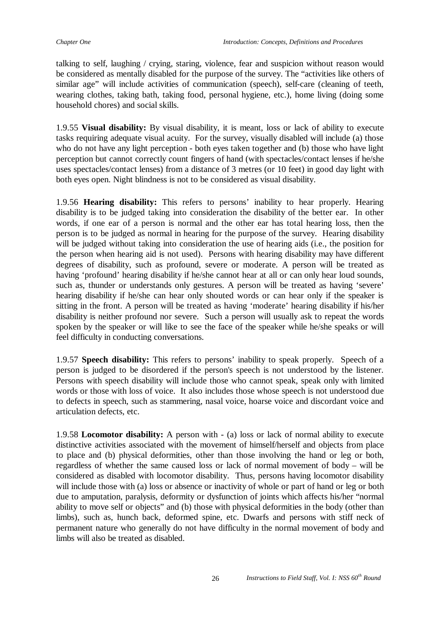talking to self, laughing / crying, staring, violence, fear and suspicion without reason would be considered as mentally disabled for the purpose of the survey. The "activities like others of similar age" will include activities of communication (speech), self-care (cleaning of teeth, wearing clothes, taking bath, taking food, personal hygiene, etc.), home living (doing some household chores) and social skills.

1.9.55 **Visual disability:** By visual disability, it is meant, loss or lack of ability to execute tasks requiring adequate visual acuity. For the survey, visually disabled will include (a) those who do not have any light perception - both eyes taken together and (b) those who have light perception but cannot correctly count fingers of hand (with spectacles/contact lenses if he/she uses spectacles/contact lenses) from a distance of 3 metres (or 10 feet) in good day light with both eyes open. Night blindness is not to be considered as visual disability.

1.9.56 **Hearing disability:** This refers to persons' inability to hear properly. Hearing disability is to be judged taking into consideration the disability of the better ear. In other words, if one ear of a person is normal and the other ear has total hearing loss, then the person is to be judged as normal in hearing for the purpose of the survey. Hearing disability will be judged without taking into consideration the use of hearing aids (i.e., the position for the person when hearing aid is not used). Persons with hearing disability may have different degrees of disability, such as profound, severe or moderate. A person will be treated as having 'profound' hearing disability if he/she cannot hear at all or can only hear loud sounds, such as, thunder or understands only gestures. A person will be treated as having 'severe' hearing disability if he/she can hear only shouted words or can hear only if the speaker is sitting in the front. A person will be treated as having 'moderate' hearing disability if his/her disability is neither profound nor severe. Such a person will usually ask to repeat the words spoken by the speaker or will like to see the face of the speaker while he/she speaks or will feel difficulty in conducting conversations.

1.9.57 **Speech disability:** This refers to persons' inability to speak properly. Speech of a person is judged to be disordered if the person's speech is not understood by the listener. Persons with speech disability will include those who cannot speak, speak only with limited words or those with loss of voice. It also includes those whose speech is not understood due to defects in speech, such as stammering, nasal voice, hoarse voice and discordant voice and articulation defects, etc.

1.9.58 **Locomotor disability:** A person with - (a) loss or lack of normal ability to execute distinctive activities associated with the movement of himself/herself and objects from place to place and (b) physical deformities, other than those involving the hand or leg or both, regardless of whether the same caused loss or lack of normal movement of body – will be considered as disabled with locomotor disability. Thus, persons having locomotor disability will include those with (a) loss or absence or inactivity of whole or part of hand or leg or both due to amputation, paralysis, deformity or dysfunction of joints which affects his/her "normal ability to move self or objects" and (b) those with physical deformities in the body (other than limbs), such as, hunch back, deformed spine, etc. Dwarfs and persons with stiff neck of permanent nature who generally do not have difficulty in the normal movement of body and limbs will also be treated as disabled.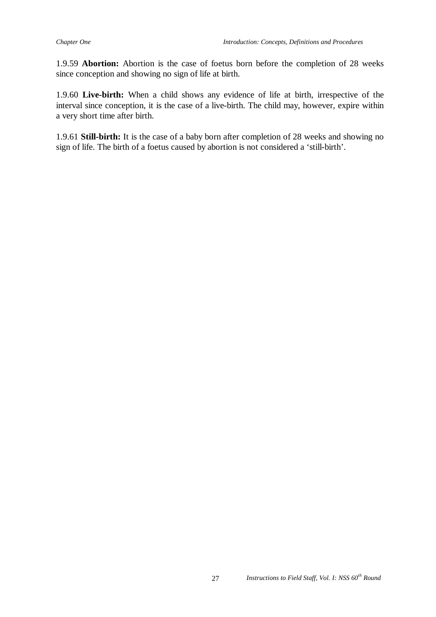1.9.59 **Abortion:** Abortion is the case of foetus born before the completion of 28 weeks since conception and showing no sign of life at birth.

1.9.60 **Live-birth:** When a child shows any evidence of life at birth, irrespective of the interval since conception, it is the case of a live-birth. The child may, however, expire within a very short time after birth.

1.9.61 **Still-birth:** It is the case of a baby born after completion of 28 weeks and showing no sign of life. The birth of a foetus caused by abortion is not considered a 'still-birth'.